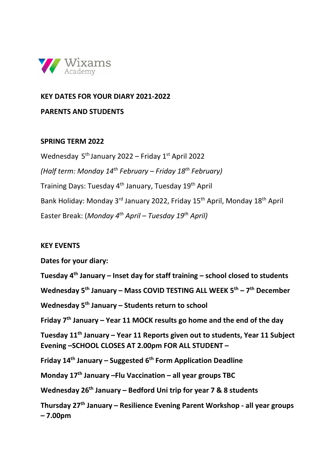

## **KEY DATES FOR YOUR DIARY 2021-2022**

**PARENTS AND STUDENTS**

## **SPRING TERM 2022**

Wednesday 5th January 2022 – Friday 1st April 2022 *(Half term: Monday 14th February – Friday 18th February)* Training Days: Tuesday 4th January, Tuesday 19th April Bank Holiday: Monday 3<sup>rd</sup> January 2022, Friday 15<sup>th</sup> April, Monday 18<sup>th</sup> April Easter Break: (*Monday 4th April – Tuesday 19th April)*

## **KEY EVENTS**

**Dates for your diary: Tuesday 4th January – Inset day for staff training – school closed to students Wednesday 5th January – Mass COVID TESTING ALL WEEK 5th – 7th December Wednesday 5th January – Students return to school Friday 7th January – Year 11 MOCK results go home and the end of the day Tuesday 11th January – Year 11 Reports given out to students, Year 11 Subject Evening –SCHOOL CLOSES AT 2.00pm FOR ALL STUDENT – Friday 14th January – Suggested 6th Form Application Deadline Monday 17th January –Flu Vaccination – all year groups TBC Wednesday 26th January – Bedford Uni trip for year 7 & 8 students Thursday 27th January – Resilience Evening Parent Workshop - all year groups – 7.00pm**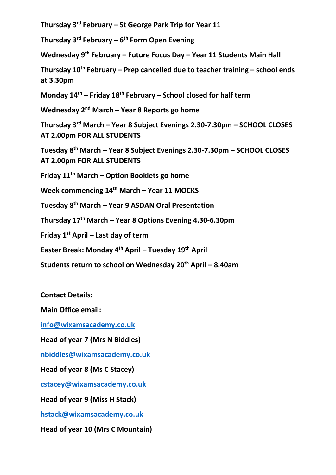**Thursday 3rd February – St George Park Trip for Year 11**

**Thursday 3rd February – 6th Form Open Evening**

**Wednesday 9th February – Future Focus Day – Year 11 Students Main Hall**

**Thursday 10th February – Prep cancelled due to teacher training – school ends at 3.30pm**

**Monday 14th – Friday 18th February – School closed for half term**

**Wednesday 2nd March – Year 8 Reports go home**

**Thursday 3rd March – Year 8 Subject Evenings 2.30-7.30pm – SCHOOL CLOSES AT 2.00pm FOR ALL STUDENTS**

**Tuesday 8th March – Year 8 Subject Evenings 2.30-7.30pm – SCHOOL CLOSES AT 2.00pm FOR ALL STUDENTS**

**Friday 11th March – Option Booklets go home**

**Week commencing 14th March – Year 11 MOCKS** 

**Tuesday 8th March – Year 9 ASDAN Oral Presentation**

**Thursday 17th March – Year 8 Options Evening 4.30-6.30pm**

**Friday 1st April – Last day of term** 

**Easter Break: Monday 4th April – Tuesday 19th April**

**Students return to school on Wednesday 20th April – 8.40am** 

**Contact Details:**

**Main Office email:**

**[info@wixamsacademy.co.uk](mailto:info@wixamsacademy.co.uk)**

**Head of year 7 (Mrs N Biddles)**

**[nbiddles@wixamsacademy.co.uk](mailto:nbiddles@wixamsacademy.co.uk)**

**Head of year 8 (Ms C Stacey)**

**[cstacey@wixamsacademy.co.uk](mailto:cstacey@wixamsacademy.co.uk)**

**Head of year 9 (Miss H Stack)**

**[hstack@wixamsacademy.co.uk](mailto:hstack@wixamsacademy.co.uk)**

**Head of year 10 (Mrs C Mountain)**